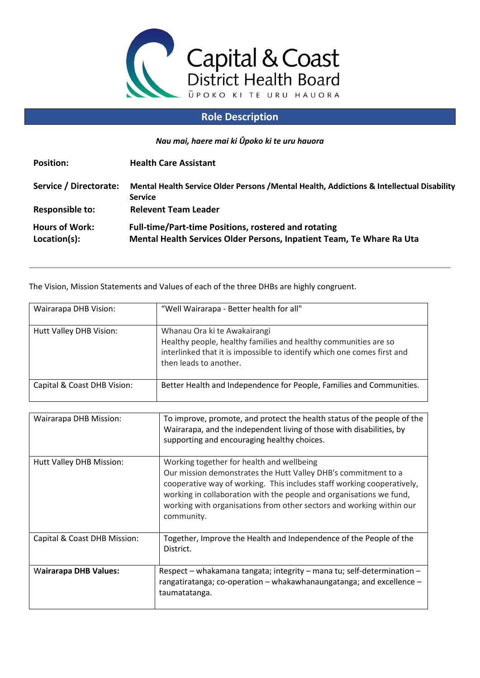

## **Role Description**

*Nau mai, haere mai ki Ūpoko ki te uru hauora*

| <b>Position:</b>                      | <b>Health Care Assistant</b>                                                                                                         |
|---------------------------------------|--------------------------------------------------------------------------------------------------------------------------------------|
| Service / Directorate:                | Mental Health Service Older Persons / Mental Health, Addictions & Intellectual Disability<br><b>Service</b>                          |
| <b>Responsible to:</b>                | <b>Relevent Team Leader</b>                                                                                                          |
| <b>Hours of Work:</b><br>Location(s): | <b>Full-time/Part-time Positions, rostered and rotating</b><br>Mental Health Services Older Persons, Inpatient Team, Te Whare Ra Uta |

The Vision, Mission Statements and Values of each of the three DHBs are highly congruent.

| Wairarapa DHB Vision:       | "Well Wairarapa - Better health for all"                                                                                                                                                             |
|-----------------------------|------------------------------------------------------------------------------------------------------------------------------------------------------------------------------------------------------|
| Hutt Valley DHB Vision:     | Whanau Ora ki te Awakairangi<br>Healthy people, healthy families and healthy communities are so<br>interlinked that it is impossible to identify which one comes first and<br>then leads to another. |
| Capital & Coast DHB Vision: | Better Health and Independence for People, Families and Communities.                                                                                                                                 |

| Wairarapa DHB Mission:       | To improve, promote, and protect the health status of the people of the<br>Wairarapa, and the independent living of those with disabilities, by<br>supporting and encouraging healthy choices.                                                                                                                                                     |
|------------------------------|----------------------------------------------------------------------------------------------------------------------------------------------------------------------------------------------------------------------------------------------------------------------------------------------------------------------------------------------------|
| Hutt Valley DHB Mission:     | Working together for health and wellbeing<br>Our mission demonstrates the Hutt Valley DHB's commitment to a<br>cooperative way of working. This includes staff working cooperatively,<br>working in collaboration with the people and organisations we fund,<br>working with organisations from other sectors and working within our<br>community. |
| Capital & Coast DHB Mission: | Together, Improve the Health and Independence of the People of the<br>District.                                                                                                                                                                                                                                                                    |
| <b>Wairarapa DHB Values:</b> | Respect – whakamana tangata; integrity – mana tu; self-determination –<br>rangatiratanga; co-operation – whakawhanaungatanga; and excellence –<br>taumatatanga.                                                                                                                                                                                    |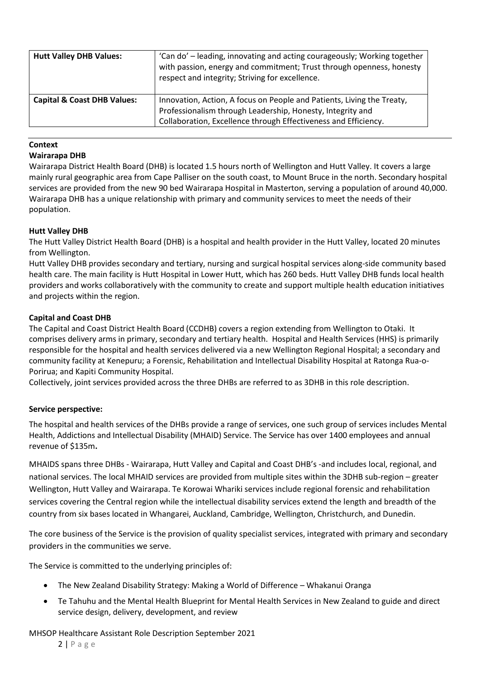| <b>Hutt Valley DHB Values:</b>         | 'Can do' – leading, innovating and acting courageously; Working together<br>with passion, energy and commitment; Trust through openness, honesty<br>respect and integrity; Striving for excellence.     |
|----------------------------------------|---------------------------------------------------------------------------------------------------------------------------------------------------------------------------------------------------------|
| <b>Capital &amp; Coast DHB Values:</b> | Innovation, Action, A focus on People and Patients, Living the Treaty,<br>Professionalism through Leadership, Honesty, Integrity and<br>Collaboration, Excellence through Effectiveness and Efficiency. |

## **Context**

#### **Wairarapa DHB**

Wairarapa District Health Board (DHB) is located 1.5 hours north of Wellington and Hutt Valley. It covers a large mainly rural geographic area from Cape Palliser on the south coast, to Mount Bruce in the north. Secondary hospital services are provided from the new 90 bed Wairarapa Hospital in Masterton, serving a population of around 40,000. Wairarapa DHB has a unique relationship with primary and community services to meet the needs of their population.

## **Hutt Valley DHB**

The Hutt Valley District Health Board (DHB) is a hospital and health provider in the Hutt Valley, located 20 minutes from Wellington.

Hutt Valley DHB provides secondary and tertiary, nursing and surgical hospital services along-side community based health care. The main facility is Hutt Hospital in Lower Hutt, which has 260 beds. Hutt Valley DHB funds local health providers and works collaboratively with the community to create and support multiple health education initiatives and projects within the region.

## **Capital and Coast DHB**

The Capital and Coast District Health Board (CCDHB) covers a region extending from Wellington to Otaki. It comprises delivery arms in primary, secondary and tertiary health. Hospital and Health Services (HHS) is primarily responsible for the hospital and health services delivered via a new Wellington Regional Hospital; a secondary and community facility at Kenepuru; a Forensic, Rehabilitation and Intellectual Disability Hospital at Ratonga Rua-o-Porirua; and Kapiti Community Hospital.

Collectively, joint services provided across the three DHBs are referred to as 3DHB in this role description.

## **Service perspective:**

The hospital and health services of the DHBs provide a range of services, one such group of services includes Mental Health, Addictions and Intellectual Disability (MHAID) Service. The Service has over 1400 employees and annual revenue of \$135m**.**

MHAIDS spans three DHBs - Wairarapa, Hutt Valley and Capital and Coast DHB's -and includes local, regional, and national services. The local MHAID services are provided from multiple sites within the 3DHB sub-region – greater Wellington, Hutt Valley and Wairarapa. Te Korowai Whariki services include regional forensic and rehabilitation services covering the Central region while the intellectual disability services extend the length and breadth of the country from six bases located in Whangarei, Auckland, Cambridge, Wellington, Christchurch, and Dunedin.

The core business of the Service is the provision of quality specialist services, integrated with primary and secondary providers in the communities we serve.

The Service is committed to the underlying principles of:

- The New Zealand Disability Strategy: Making a World of Difference Whakanui Oranga
- Te Tahuhu and the Mental Health Blueprint for Mental Health Services in New Zealand to guide and direct service design, delivery, development, and review

MHSOP Healthcare Assistant Role Description September 2021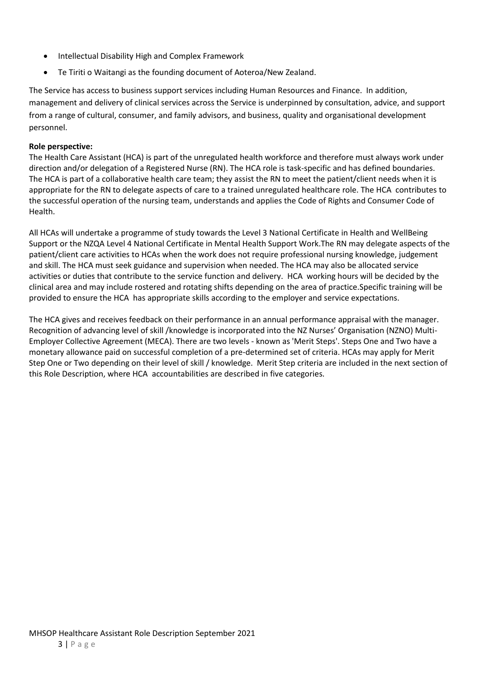- Intellectual Disability High and Complex Framework
- Te Tiriti o Waitangi as the founding document of Aoteroa/New Zealand.

The Service has access to business support services including Human Resources and Finance. In addition, management and delivery of clinical services across the Service is underpinned by consultation, advice, and support from a range of cultural, consumer, and family advisors, and business, quality and organisational development personnel.

#### **Role perspective:**

The Health Care Assistant (HCA) is part of the unregulated health workforce and therefore must always work under direction and/or delegation of a Registered Nurse (RN). The HCA role is task-specific and has defined boundaries. The HCA is part of a collaborative health care team; they assist the RN to meet the patient/client needs when it is appropriate for the RN to delegate aspects of care to a trained unregulated healthcare role. The HCA contributes to the successful operation of the nursing team, understands and applies the Code of Rights and Consumer Code of Health.

All HCAs will undertake a programme of study towards the Level 3 National Certificate in Health and WellBeing Support or the NZQA Level 4 National Certificate in Mental Health Support Work.The RN may delegate aspects of the patient/client care activities to HCAs when the work does not require professional nursing knowledge, judgement and skill. The HCA must seek guidance and supervision when needed. The HCA may also be allocated service activities or duties that contribute to the service function and delivery. HCA working hours will be decided by the clinical area and may include rostered and rotating shifts depending on the area of practice.Specific training will be provided to ensure the HCA has appropriate skills according to the employer and service expectations.

The HCA gives and receives feedback on their performance in an annual performance appraisal with the manager. Recognition of advancing level of skill /knowledge is incorporated into the NZ Nurses' Organisation (NZNO) Multi-Employer Collective Agreement (MECA). There are two levels - known as 'Merit Steps'. Steps One and Two have a monetary allowance paid on successful completion of a pre-determined set of criteria. HCAs may apply for Merit Step One or Two depending on their level of skill / knowledge. Merit Step criteria are included in the next section of this Role Description, where HCA accountabilities are described in five categories.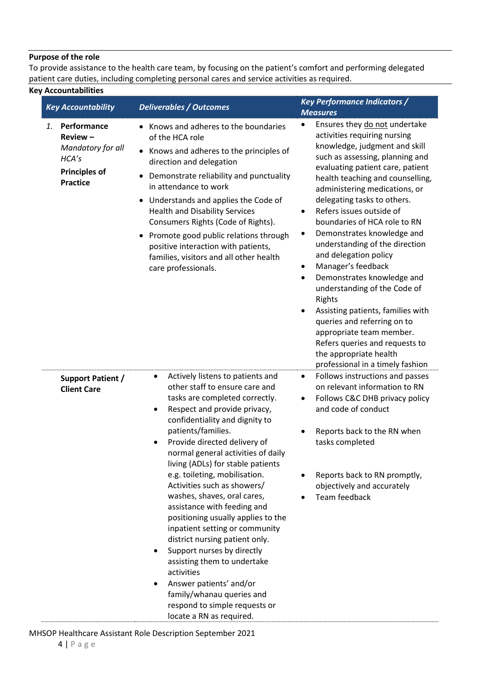#### **Purpose of the role**

To provide assistance to the health care team, by focusing on the patient's comfort and performing delegated patient care duties, including completing personal cares and service activities as required.

## **Key Accountabilities**

| <b>Key Accountability</b>                                                                             | <b>Deliverables / Outcomes</b>                                                                                                                                                                                                                                                                                                                                                                                                                                                                                                                                                                                                                                                                                                                               | <b>Key Performance Indicators /</b>                                                                                                                                                                                                                                                                                                                                                                                                                                                                                                                                                                                                                                                                                                                                                              |
|-------------------------------------------------------------------------------------------------------|--------------------------------------------------------------------------------------------------------------------------------------------------------------------------------------------------------------------------------------------------------------------------------------------------------------------------------------------------------------------------------------------------------------------------------------------------------------------------------------------------------------------------------------------------------------------------------------------------------------------------------------------------------------------------------------------------------------------------------------------------------------|--------------------------------------------------------------------------------------------------------------------------------------------------------------------------------------------------------------------------------------------------------------------------------------------------------------------------------------------------------------------------------------------------------------------------------------------------------------------------------------------------------------------------------------------------------------------------------------------------------------------------------------------------------------------------------------------------------------------------------------------------------------------------------------------------|
| Performance<br>1.<br>Review-<br>Mandatory for all<br>HCA's<br><b>Principles of</b><br><b>Practice</b> | Knows and adheres to the boundaries<br>$\bullet$<br>of the HCA role<br>Knows and adheres to the principles of<br>$\bullet$<br>direction and delegation<br>Demonstrate reliability and punctuality<br>٠<br>in attendance to work<br>Understands and applies the Code of<br>$\bullet$<br><b>Health and Disability Services</b><br>Consumers Rights (Code of Rights).<br>Promote good public relations through<br>positive interaction with patients,<br>families, visitors and all other health<br>care professionals.                                                                                                                                                                                                                                         | <b>Measures</b><br>Ensures they do not undertake<br>activities requiring nursing<br>knowledge, judgment and skill<br>such as assessing, planning and<br>evaluating patient care, patient<br>health teaching and counselling,<br>administering medications, or<br>delegating tasks to others.<br>Refers issues outside of<br>$\bullet$<br>boundaries of HCA role to RN<br>Demonstrates knowledge and<br>$\bullet$<br>understanding of the direction<br>and delegation policy<br>Manager's feedback<br>٠<br>Demonstrates knowledge and<br>$\bullet$<br>understanding of the Code of<br>Rights<br>Assisting patients, families with<br>٠<br>queries and referring on to<br>appropriate team member.<br>Refers queries and requests to<br>the appropriate health<br>professional in a timely fashion |
| Support Patient /<br><b>Client Care</b>                                                               | Actively listens to patients and<br>other staff to ensure care and<br>tasks are completed correctly.<br>Respect and provide privacy,<br>$\bullet$<br>confidentiality and dignity to<br>patients/families.<br>Provide directed delivery of<br>normal general activities of daily<br>living (ADLs) for stable patients<br>e.g. toileting, mobilisation.<br>Activities such as showers/<br>washes, shaves, oral cares,<br>assistance with feeding and<br>positioning usually applies to the<br>inpatient setting or community<br>district nursing patient only.<br>Support nurses by directly<br>assisting them to undertake<br>activities<br>Answer patients' and/or<br>family/whanau queries and<br>respond to simple requests or<br>locate a RN as required. | Follows instructions and passes<br>$\bullet$<br>on relevant information to RN<br>Follows C&C DHB privacy policy<br>$\bullet$<br>and code of conduct<br>Reports back to the RN when<br>tasks completed<br>Reports back to RN promptly,<br>objectively and accurately<br>Team feedback                                                                                                                                                                                                                                                                                                                                                                                                                                                                                                             |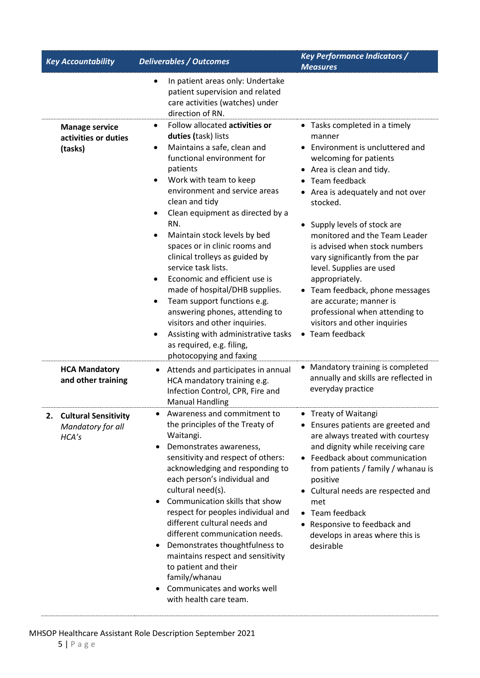| <b>Key Accountability</b>                                       | <b>Deliverables / Outcomes</b>                                                                                                                                                                                                                                                                                                                                                                                                                                                                                                                                                                                                                                                                                                       | <b>Key Performance Indicators /</b><br><b>Measures</b>                                                                                                                                                                                                                                                                                                                                                                                                                                                                                   |
|-----------------------------------------------------------------|--------------------------------------------------------------------------------------------------------------------------------------------------------------------------------------------------------------------------------------------------------------------------------------------------------------------------------------------------------------------------------------------------------------------------------------------------------------------------------------------------------------------------------------------------------------------------------------------------------------------------------------------------------------------------------------------------------------------------------------|------------------------------------------------------------------------------------------------------------------------------------------------------------------------------------------------------------------------------------------------------------------------------------------------------------------------------------------------------------------------------------------------------------------------------------------------------------------------------------------------------------------------------------------|
|                                                                 | In patient areas only: Undertake<br>patient supervision and related<br>care activities (watches) under<br>direction of RN.                                                                                                                                                                                                                                                                                                                                                                                                                                                                                                                                                                                                           |                                                                                                                                                                                                                                                                                                                                                                                                                                                                                                                                          |
| <b>Manage service</b><br>activities or duties<br>(tasks)        | Follow allocated activities or<br>$\bullet$<br>duties (task) lists<br>Maintains a safe, clean and<br>$\bullet$<br>functional environment for<br>patients<br>Work with team to keep<br>٠<br>environment and service areas<br>clean and tidy<br>Clean equipment as directed by a<br>٠<br>RN.<br>Maintain stock levels by bed<br>$\bullet$<br>spaces or in clinic rooms and<br>clinical trolleys as guided by<br>service task lists.<br>Economic and efficient use is<br>$\bullet$<br>made of hospital/DHB supplies.<br>Team support functions e.g.<br>$\bullet$<br>answering phones, attending to<br>visitors and other inquiries.<br>Assisting with administrative tasks<br>٠<br>as required, e.g. filing,<br>photocopying and faxing | • Tasks completed in a timely<br>manner<br>• Environment is uncluttered and<br>welcoming for patients<br>• Area is clean and tidy.<br>Team feedback<br>• Area is adequately and not over<br>stocked.<br>Supply levels of stock are<br>monitored and the Team Leader<br>is advised when stock numbers<br>vary significantly from the par<br>level. Supplies are used<br>appropriately.<br>• Team feedback, phone messages<br>are accurate; manner is<br>professional when attending to<br>visitors and other inquiries<br>• Team feedback |
| <b>HCA Mandatory</b><br>and other training                      | Attends and participates in annual<br>$\bullet$<br>HCA mandatory training e.g.<br>Infection Control, CPR, Fire and<br><b>Manual Handling</b>                                                                                                                                                                                                                                                                                                                                                                                                                                                                                                                                                                                         | Mandatory training is completed<br>annually and skills are reflected in<br>everyday practice                                                                                                                                                                                                                                                                                                                                                                                                                                             |
| 2.<br><b>Cultural Sensitivity</b><br>Mandatory for all<br>HCA's | Awareness and commitment to<br>the principles of the Treaty of<br>Waitangi.<br>Demonstrates awareness,<br>$\bullet$<br>sensitivity and respect of others:<br>acknowledging and responding to<br>each person's individual and<br>cultural need(s).<br>Communication skills that show<br>respect for peoples individual and<br>different cultural needs and<br>different communication needs.<br>Demonstrates thoughtfulness to<br>maintains respect and sensitivity<br>to patient and their<br>family/whanau<br>Communicates and works well<br>with health care team.                                                                                                                                                                 | Treaty of Waitangi<br>Ensures patients are greeted and<br>are always treated with courtesy<br>and dignity while receiving care<br>• Feedback about communication<br>from patients / family / whanau is<br>positive<br>• Cultural needs are respected and<br>met<br>• Team feedback<br>Responsive to feedback and<br>develops in areas where this is<br>desirable                                                                                                                                                                         |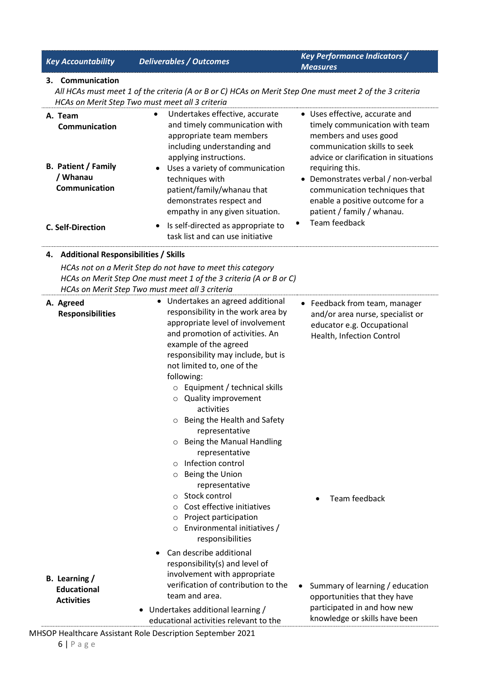|    | <b>Key Accountability</b>                               | <b>Deliverables / Outcomes</b>                                                                                                                                                                                                                                                                                                                                                                                                                                                                                                             | <b>Key Performance Indicators /</b><br><b>Measures</b>                                                                                                             |
|----|---------------------------------------------------------|--------------------------------------------------------------------------------------------------------------------------------------------------------------------------------------------------------------------------------------------------------------------------------------------------------------------------------------------------------------------------------------------------------------------------------------------------------------------------------------------------------------------------------------------|--------------------------------------------------------------------------------------------------------------------------------------------------------------------|
| 3. | Communication                                           |                                                                                                                                                                                                                                                                                                                                                                                                                                                                                                                                            |                                                                                                                                                                    |
|    |                                                         | All HCAs must meet 1 of the criteria (A or B or C) HCAs on Merit Step One must meet 2 of the 3 criteria                                                                                                                                                                                                                                                                                                                                                                                                                                    |                                                                                                                                                                    |
|    |                                                         | HCAs on Merit Step Two must meet all 3 criteria                                                                                                                                                                                                                                                                                                                                                                                                                                                                                            |                                                                                                                                                                    |
|    | A. Team<br>Communication                                | Undertakes effective, accurate<br>$\bullet$<br>and timely communication with<br>appropriate team members<br>including understanding and<br>applying instructions.                                                                                                                                                                                                                                                                                                                                                                          | • Uses effective, accurate and<br>timely communication with team<br>members and uses good<br>communication skills to seek<br>advice or clarification in situations |
|    | <b>B. Patient / Family</b><br>/ Whanau<br>Communication | Uses a variety of communication<br>$\bullet$<br>techniques with<br>patient/family/whanau that<br>demonstrates respect and<br>empathy in any given situation.                                                                                                                                                                                                                                                                                                                                                                               | requiring this.<br>• Demonstrates verbal / non-verbal<br>communication techniques that<br>enable a positive outcome for a<br>patient / family / whanau.            |
|    | <b>C. Self-Direction</b>                                | Is self-directed as appropriate to<br>task list and can use initiative                                                                                                                                                                                                                                                                                                                                                                                                                                                                     | Team feedback                                                                                                                                                      |
| 4. | <b>Additional Responsibilities / Skills</b>             |                                                                                                                                                                                                                                                                                                                                                                                                                                                                                                                                            |                                                                                                                                                                    |
|    |                                                         | HCAs not on a Merit Step do not have to meet this category<br>HCAs on Merit Step One must meet 1 of the 3 criteria (A or B or C)<br>HCAs on Merit Step Two must meet all 3 criteria                                                                                                                                                                                                                                                                                                                                                        |                                                                                                                                                                    |
|    | A. Agreed<br><b>Responsibilities</b>                    | Undertakes an agreed additional<br>responsibility in the work area by<br>appropriate level of involvement<br>and promotion of activities. An<br>example of the agreed<br>responsibility may include, but is<br>not limited to, one of the<br>following:<br>Equipment / technical skills<br>$\circ$<br>Quality improvement<br>O<br>activities<br>Being the Health and Safety<br>$\circ$<br>representative<br>O Being the Manual Handling<br>representative<br>Infection control<br>$\Omega$<br>Being the Union<br>$\circ$<br>representative | • Feedback from team, manager<br>and/or area nurse, specialist or<br>educator e.g. Occupational<br>Health, Infection Control                                       |
|    | B. Learning /<br><b>Educational</b>                     | Stock control<br>$\Omega$<br>Cost effective initiatives<br>O<br>Project participation<br>O<br>Environmental initiatives /<br>responsibilities<br>Can describe additional<br>responsibility(s) and level of<br>involvement with appropriate<br>verification of contribution to the                                                                                                                                                                                                                                                          | Team feedback<br>Summary of learning / education                                                                                                                   |
|    | <b>Activities</b>                                       | team and area.<br>• Undertakes additional learning /<br>educational activities relevant to the                                                                                                                                                                                                                                                                                                                                                                                                                                             | opportunities that they have<br>participated in and how new<br>knowledge or skills have been                                                                       |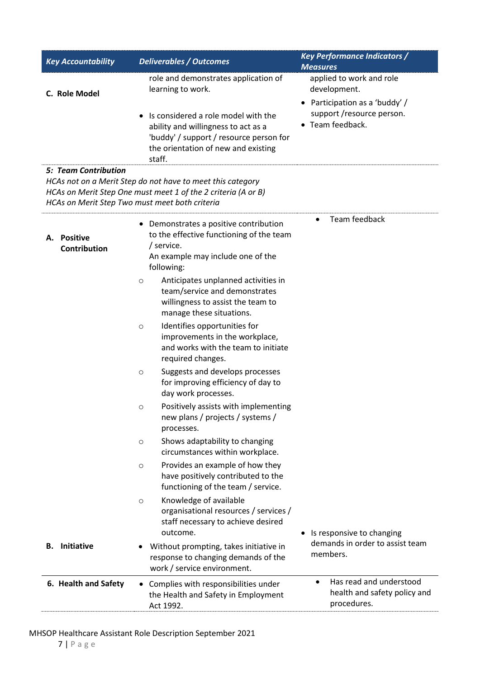| <b>Key Accountability</b>                                                     | <b>Deliverables / Outcomes</b>                                                                                                                                                              | <b>Key Performance Indicators /</b><br><b>Measures</b>                              |
|-------------------------------------------------------------------------------|---------------------------------------------------------------------------------------------------------------------------------------------------------------------------------------------|-------------------------------------------------------------------------------------|
| C. Role Model                                                                 | role and demonstrates application of<br>learning to work.                                                                                                                                   | applied to work and role<br>development.<br>• Participation as a 'buddy' /          |
|                                                                               | Is considered a role model with the<br>$\bullet$<br>ability and willingness to act as a<br>'buddy' / support / resource person for<br>the orientation of new and existing<br>staff.         | support /resource person.<br>• Team feedback.                                       |
| <b>5: Team Contribution</b><br>HCAs on Merit Step Two must meet both criteria | HCAs not on a Merit Step do not have to meet this category<br>HCAs on Merit Step One must meet 1 of the 2 criteria (A or B)                                                                 |                                                                                     |
| <b>Positive</b><br>А.<br><b>Contribution</b>                                  | Demonstrates a positive contribution<br>to the effective functioning of the team<br>/ service.<br>An example may include one of the<br>following:                                           | Team feedback                                                                       |
|                                                                               | Anticipates unplanned activities in<br>$\circ$<br>team/service and demonstrates<br>willingness to assist the team to<br>manage these situations.<br>Identifies opportunities for<br>$\circ$ |                                                                                     |
|                                                                               | improvements in the workplace,<br>and works with the team to initiate<br>required changes.                                                                                                  |                                                                                     |
|                                                                               | Suggests and develops processes<br>$\circ$<br>for improving efficiency of day to<br>day work processes.                                                                                     |                                                                                     |
|                                                                               | Positively assists with implementing<br>O<br>new plans / projects / systems /<br>processes.                                                                                                 |                                                                                     |
|                                                                               | Shows adaptability to changing<br>O<br>circumstances within workplace.                                                                                                                      |                                                                                     |
|                                                                               | Provides an example of how they<br>$\circ$<br>have positively contributed to the<br>functioning of the team / service.                                                                      |                                                                                     |
|                                                                               | Knowledge of available<br>$\circ$<br>organisational resources / services /<br>staff necessary to achieve desired                                                                            |                                                                                     |
| <b>Initiative</b><br>В.                                                       | outcome.<br>Without prompting, takes initiative in<br>response to changing demands of the<br>work / service environment.                                                                    | • Is responsive to changing<br>demands in order to assist team<br>members.          |
| 6. Health and Safety                                                          | • Complies with responsibilities under<br>the Health and Safety in Employment<br>Act 1992.                                                                                                  | Has read and understood<br>$\bullet$<br>health and safety policy and<br>procedures. |

# MHSOP Healthcare Assistant Role Description September 2021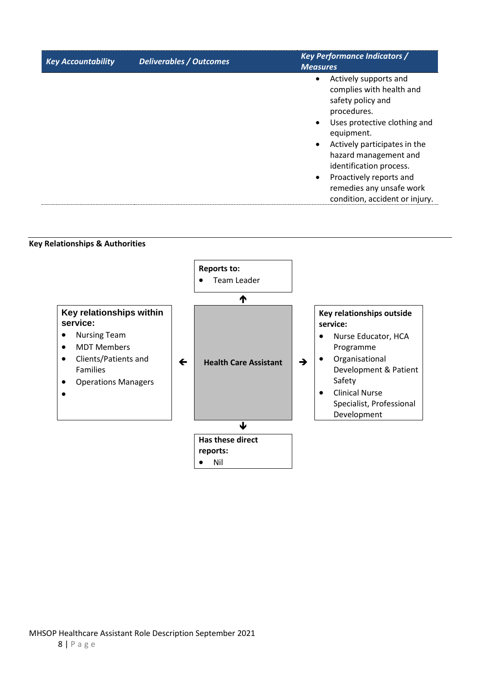| <b>Key Accountability</b> | <b>Deliverables / Outcomes</b> | <b>Key Performance Indicators /</b><br><b>Measures</b>                                                                                                                                                                                                                                                                        |
|---------------------------|--------------------------------|-------------------------------------------------------------------------------------------------------------------------------------------------------------------------------------------------------------------------------------------------------------------------------------------------------------------------------|
|                           |                                | Actively supports and<br>$\bullet$<br>complies with health and<br>safety policy and<br>procedures.<br>Uses protective clothing and<br>equipment.<br>Actively participates in the<br>hazard management and<br>identification process.<br>Proactively reports and<br>remedies any unsafe work<br>condition, accident or injury. |

**Key Relationships & Authorities**